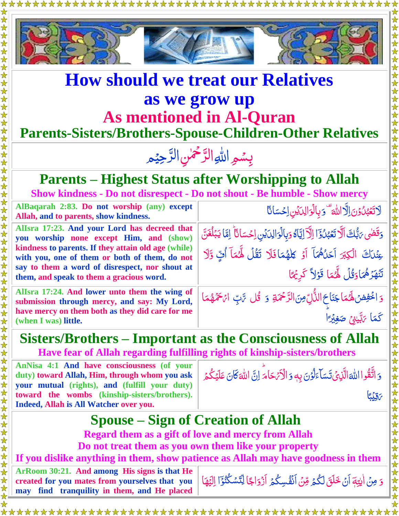

## **How should we treat our Relatives as we grow up As mentioned in Al-Quran**

### **Parents-Sisters/Brothers-Spouse-Children-Other Relatives**

#### بِسُمِ اللهِ الرَّحْمٰنِ الرَّحِيْمِ  $\tilde{=}$ رّ<br>\_  $\frac{1}{2}$ رّ<br>\_

#### **Parents – Highest Status after Worshipping to Allah Show kindness - Do not disrespect - Do not shout - Be humble - Show mercy**

**AlBaqarah 2:83. Do not worship (any) except Allah, and to parents, show kindness.**  <u>لَاتَع</u>ْبُنُوۡنَ اِلَّا <u>ُ</u>  $\tilde{\cdot}$ á ت ا للَّٰهَ ۗ دَ بِالۡوَالِدَيۡنِ اِحۡسَانَا ا **AlIsra 17:23. And your Lord has decreed that you worship none except Him, and (show) kindness to parents. If they attain old age (while) with you, one of them or both of them, do not say to them a word of disrespect, nor shout at them, and speak to them a gracious word.**  وَقَّضَى رَبُّكَ اَلَّا تَعۡبُٰنُوۡٓٓا اِلَّآ اِيَّاَهُ وَبِالۡوَالِدَيۡنِ اِحۡسَانَآ الَّا يَبۡلُغَنَّ ļ <u>ُ</u><br>ُ <u>أ</u> بَ<br>ا á ا **گا**  $\frac{1}{2}$ Ã  $\ddot{\cdot}$  $\mathfrak{a}$ ׇ֪֪֦֧֪֦֪֪֦֪֦֪֪֦֪֪֦֧֦֧֪֪֦֧֧֪֪֪֦֧֦֧֧֧֞֝֞֝֝֬֟֝֬֟֝֬֟֟֝֟֓֟֓֝֬֟֟֓֞֟֓֝֬֝֬֝֬ عِنْدَ*اَ* الْكِبَرَ اَحَلُّهُمَآ اَوۡ كِلَهُمَافَلَا تَقُلُ لَهُمَآ أُفٍّ وَّلَا <u>ُ</u>  $\overline{\mathcal{L}}$ ٰ نو<br>م ُ قر<br>م هَزَهُمَاوَقُلُ لِهُمَا قَوْلاً كَرِيْهَا ر<br>ُ َّن ت ام<br>ا ُ  $\tilde{=}$ **AlIsra 17:24. And lower unto them the wing of submission through mercy, and say: My Lord, have mercy on them both as they did care for me (when I was) little.** وَ اخْفِضْ لَهُمَا جَنَاحَ الذُّلِّ مِنَ الرَّحْمَةِ ۚ وَ ۖ قُل سَّتِ ۚ امْ حَمْهُمَا ُ نه<br>پا رّ اُ<br>ا Ĭ Ï  $\overline{\mathcal{L}}$  $\tilde{J}$ ا َّ كَّم َّ َّ ر ِن ي ا ب  $\tilde{\zeta}$ ٰ ً ۡۡي غِ َّ ص

**Sisters/Brothers – Important as the Consciousness of Allah Have fear of Allah regarding fulfilling rights of kinship-sisters/brothers** 

**AnNisa 4:1 And have consciousness (of your duty) toward Allah, Him, through whom you ask your mutual (rights), and (fulfill your duty) toward the wombs (kinship-sisters/brothers). Indeed, Allah is All Watcher over you.**

َّ ُقوا و َّ ات أر اللهَ الَّذِيْ تَسَاءَلُوْنَ بِهِ وَ الْأَمْ حَامَ لِنَّ  $\tilde{\zeta}$ <u>ُز</u> اُ<br>و ل  $\tilde{J}$ Ĩ للَّٰہَ *كَ*ّانَ عَلَيۡكُمۡ ۖ ا ُ<br>گ <u>بَ</u>

ا بَ<br>أ ب ي ِ ق َّ ر لَما<br>الم

安女

# **Spouse – Sign of Creation of Allah**

**Regard them as a gift of love and mercy from Allah Do not treat them as you own them like your property** 

### **If you dislike anything in them, show patience as Allah may have goodness in them**

**ArRoom 30:21. And among His signs is that He created for you mates from yourselves that you may find tranquility in them, and He placed** َّ

وَ مِنْ اٰيِتِهَ أَنْ خَلَقَ لَكُمۡ مِّنۡ أَنۡفُسِكُمۡ أَزۡوَاجًا لِّتَسۡكُنُوۡٓ اٰ لِيَهَا  $\ddot{\cdot}$ ٰ ֚֞<br>֓ ۔<br>ا  $\tilde{\cdot}$ Ž ۔<br>گ <u>ُ</u>  $\frac{1}{2}$ <u>أ</u> ر<br>ا Ĩ į پَ<br>پ َّي ل ا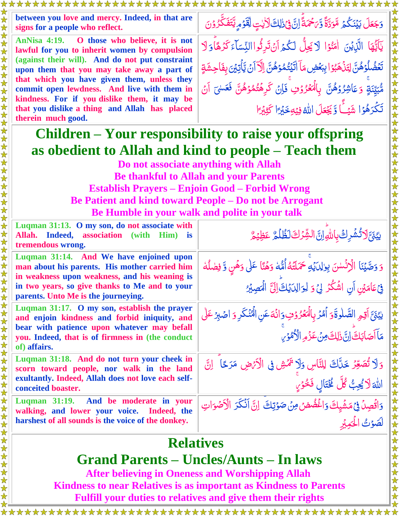| between you love and mercy. Indeed, in that are<br>signs for a people who reflect.                                                         | وَجَعَلَ بَيۡنَكُمۡ مَّوَدَّةً وَّىَحْمَةً إِنَّ فِيۡذٰلِكَ لَأَيۡتٍ لِّقَوۡمِ يَّتَفَكَّرُوۡنَ                                                      |  |
|--------------------------------------------------------------------------------------------------------------------------------------------|------------------------------------------------------------------------------------------------------------------------------------------------------|--|
| AnNisa 4:19. O those who believe, it is not<br>lawful for you to inherit women by compulsion                                               | يَآَيُّهَا الَّذِيْنَ اٰمَنُوۡا لَا يَجِلُّ لَكُمۡ أَنۡ تَدِثُوااالنِّسَآءَ كَرُهَآوَلَا                                                             |  |
| (against their will). And do not put constraint<br>upon them that you may take away a part of                                              | تَعۡضُلۡوَٰهُنَّ لِتَذۡهَبُوۡۤا بِبَعۡضِ مَآ اٰتَيۡتُمُوۡهُنَّ اِلۡآٓ اَنۡ یَّاۡتِیۡنَ بِفَاحِشَةٍ                                                   |  |
| that which you have given them, unless they<br>commit open lewdness. And live with them in<br>kindness. For if you dislike them, it may be | مّْبَيِّنَةٍ وَعَاشِرُوۡهُنَّ بِالۡمَعۡرُوۡفِۚ فَإِنۡ كَرِهۡتُمُوۡهُنَّ فَعَسۡىَ اَنۡ                                                                |  |
| that you dislike a thing and Allah has placed<br>therein much good.                                                                        | تَكْرَهُوُا شَيْئًا وَيَجْعَلَ اللَّهُ فِيْهِ خَيْرًا كَثِيْرًا                                                                                      |  |
| Children – Your responsibility to raise your offspring                                                                                     |                                                                                                                                                      |  |
| as obedient to Allah and kind to people – Teach them                                                                                       |                                                                                                                                                      |  |
| Do not associate anything with Allah                                                                                                       |                                                                                                                                                      |  |
| <b>Be thankful to Allah and your Parents</b>                                                                                               |                                                                                                                                                      |  |
| <b>Establish Prayers – Enjoin Good – Forbid Wrong</b>                                                                                      |                                                                                                                                                      |  |
| <b>Be Patient and kind toward People – Do not be Arrogant</b>                                                                              |                                                                                                                                                      |  |
| Be Humble in your walk and polite in your talk                                                                                             |                                                                                                                                                      |  |
| Luqman 31:13. O my son, do not associate with<br>Allah. Indeed, association (with Him) is<br>tremendous wrong.                             | يِّدَىَّ لَاتُشُرِكَ بِاللَّهِ إِنَّ الشَّرْكَ لَظُلُمْ عَظِيَمْ                                                                                     |  |
| Luqman 31:14. And We have enjoined upon<br>man about his parents. His mother carried him                                                   | وَ وَصَّيْنَا الْإِنْسٰنَ بِوالِدَيْهِ حَمَلَتَهُ أُمُّهُ وَهُنَّا عَلَى وَهُنٍ وَّ فِصْلُهُ                                                         |  |
| in weakness upon weakness, and his weaning is<br>in two years, so give thanks to Me and to your<br>parents. Unto Me is the journeying.     | فِيۡعَامَيۡنِ اَنِ اشۡكُرۡ لِيۡ وَ لِوَالِدَيۡكَ ۗاِلَىٰٓ الۡمَصِيۡدِ ۚ                                                                              |  |
| Luqman 31:17. O my son, establish the prayer<br>and enjoin kindness and forbid iniquity, and                                               | يبُّنَّ آقِمِ الصَّلٰوةَوَ أَمُّرُ بِالْمَعُرُوْثِ وَانَّهَ عَنِ الْمُنْكَرِ وَ اصْبِرُ عَلٰى<br>مَاۤاَصَابَكَۚ اِنَّ ذٰلِكَ مِنۡ عَزۡمِ الۡاُمُوۡسَ |  |
| bear with patience upon whatever may befall<br>you. Indeed, that is of firmness in (the conduct<br>of) affairs.                            |                                                                                                                                                      |  |
| Luqman 31:18. And do not turn your cheek in<br>scorn toward people, nor walk in the land                                                   | وَلَا تُصَعِّرُ خَلَّاكَ لِلنَّاسِ وَلَا تَمَمَّشِ فِى الْأَنْهَضِ مَرَحًا ۚ إِنَّ                                                                   |  |
| exultantly. Indeed, Allah does not love each self-<br>conceited boaster.                                                                   | اللَّهَ لَا يُحِبُّ كُلَّ مُخْتَالٍ فَخُوْلٍ                                                                                                         |  |
| <b>Luqman</b> 31:19.<br>And be moderate in your<br>walking, and lower your voice. Indeed, the                                              | وَاقُصِلُ فِي مَشْيِكَ وَاغْضُضِ مِنْ صَوْتِكَ ۚ إِنَّ أَنْكَرَ الْأَصْوَاتِ                                                                         |  |
| harshest of all sounds is the voice of the donkey.                                                                                         | لَّصَوْتُ الْحَمِيْرِ                                                                                                                                |  |
| <b>Relatives</b>                                                                                                                           |                                                                                                                                                      |  |

### **Grand Parents – Uncles/Aunts – In laws**

**After believing in Oneness and Worshipping Allah Kindness to near Relatives is as important as Kindness to Parents Fulfill your duties to relatives and give them their rights**